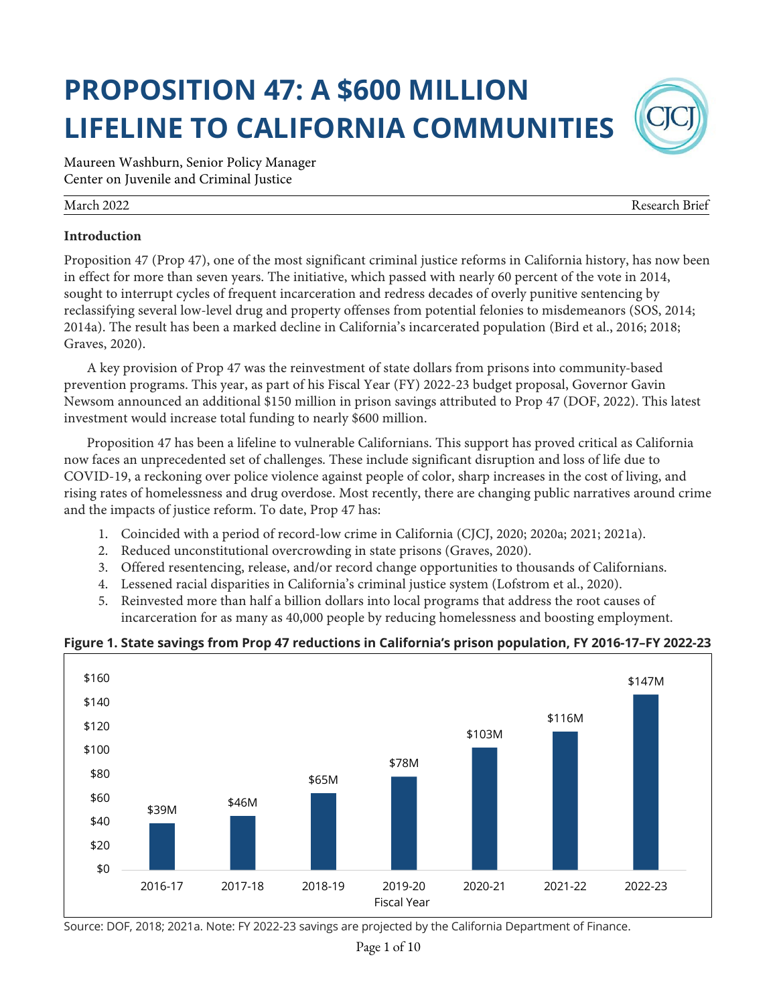# **PROPOSITION 47: A \$600 MILLION LIFELINE TO CALIFORNIA COMMUNITIES**

Maureen Washburn, Senior Policy Manager Center on Juvenile and Criminal Justice

#### March 2022 Research Brief

#### **Introduction**

Proposition 47 (Prop 47), one of the most significant criminal justice reforms in California history, has now been in effect for more than seven years. The initiative, which passed with nearly 60 percent of the vote in 2014, sought to interrupt cycles of frequent incarceration and redress decades of overly punitive sentencing by reclassifying several low-level drug and property offenses from potential felonies to misdemeanors (SOS, 2014; 2014a). The result has been a marked decline in California's incarcerated population (Bird et al., 2016; 2018; Graves, 2020).

A key provision of Prop 47 was the reinvestment of state dollars from prisons into community-based prevention programs. This year, as part of his Fiscal Year (FY) 2022-23 budget proposal, Governor Gavin Newsom announced an additional \$150 million in prison savings attributed to Prop 47 (DOF, 2022). This latest investment would increase total funding to nearly \$600 million.

Proposition 47 has been a lifeline to vulnerable Californians. This support has proved critical as California now faces an unprecedented set of challenges. These include significant disruption and loss of life due to COVID-19, a reckoning over police violence against people of color, sharp increases in the cost of living, and rising rates of homelessness and drug overdose. Most recently, there are changing public narratives around crime and the impacts of justice reform. To date, Prop 47 has:

- 1. Coincided with a period of record-low crime in California (CJCJ, 2020; 2020a; 2021; 2021a).
- 2. Reduced unconstitutional overcrowding in state prisons (Graves, 2020).
- 3. Offered resentencing, release, and/or record change opportunities to thousands of Californians.
- 4. Lessened racial disparities in California's criminal justice system (Lofstrom et al., 2020).
- 5. Reinvested more than half a billion dollars into local programs that address the root causes of incarceration for as many as 40,000 people by reducing homelessness and boosting employment.

# **Figure 1. State savings from Prop 47 reductions in California's prison population, FY 2016-17–FY 2022-23**



Source: DOF, 2018; 2021a. Note: FY 2022-23 savings are projected by the California Department of Finance.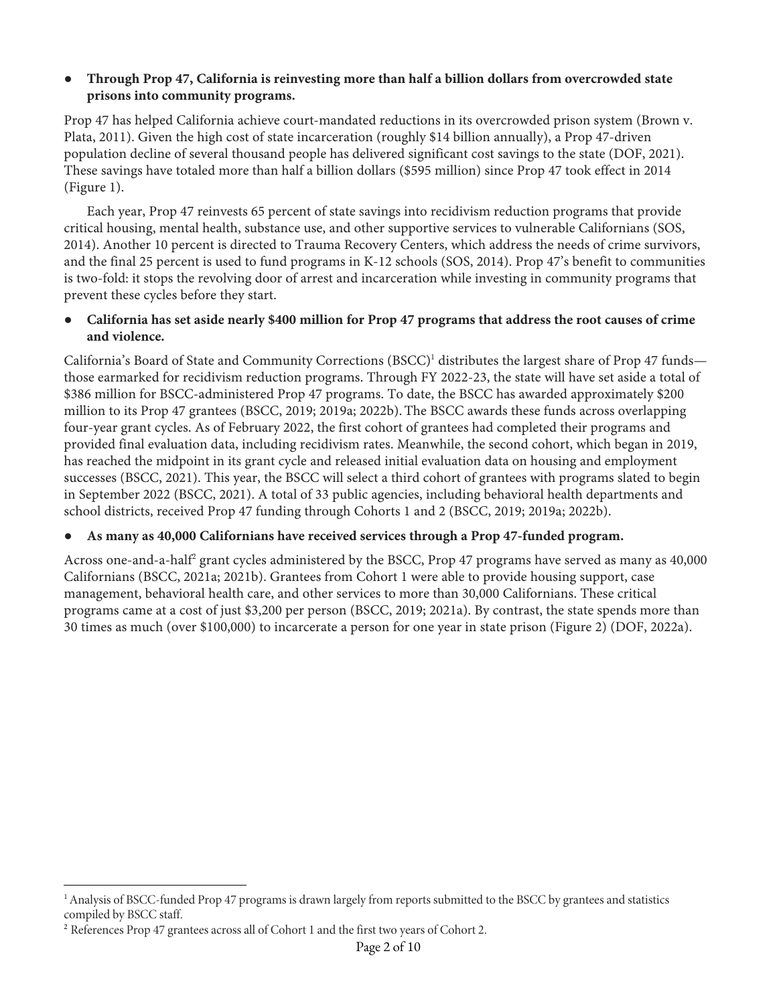## ● **Through Prop 47, California is reinvesting more than half a billion dollars from overcrowded state prisons into community programs.**

Prop 47 has helped California achieve court-mandated reductions in its overcrowded prison system (Brown v. Plata, 2011). Given the high cost of state incarceration (roughly \$14 billion annually), a Prop 47-driven population decline of several thousand people has delivered significant cost savings to the state (DOF, 2021). These savings have totaled more than half a billion dollars (\$595 million) since Prop 47 took effect in 2014 (Figure 1).

Each year, Prop 47 reinvests 65 percent of state savings into recidivism reduction programs that provide critical housing, mental health, substance use, and other supportive services to vulnerable Californians (SOS, 2014). Another 10 percent is directed to Trauma Recovery Centers, which address the needs of crime survivors, and the final 25 percent is used to fund programs in K-12 schools (SOS, 2014). Prop 47's benefit to communities is two-fold: it stops the revolving door of arrest and incarceration while investing in community programs that prevent these cycles before they start.

● **California has set aside nearly \$400 million for Prop 47 programs that address the root causes of crime and violence.**

California's Board of State and Community Corrections (BSCC)<sup>1</sup> distributes the largest share of Prop 47 funds those earmarked for recidivism reduction programs. Through FY 2022-23, the state will have set aside a total of \$386 million for BSCC-administered Prop 47 programs. To date, the BSCC has awarded approximately \$200 million to its Prop 47 grantees (BSCC, 2019; 2019a; 2022b).The BSCC awards these funds across overlapping four-year grant cycles. As of February 2022, the first cohort of grantees had completed their programs and provided final evaluation data, including recidivism rates. Meanwhile, the second cohort, which began in 2019, has reached the midpoint in its grant cycle and released initial evaluation data on housing and employment successes (BSCC, 2021). This year, the BSCC will select a third cohort of grantees with programs slated to begin in September 2022 (BSCC, 2021). A total of 33 public agencies, including behavioral health departments and school districts, received Prop 47 funding through Cohorts 1 and 2 (BSCC, 2019; 2019a; 2022b).

# ● **As many as 40,000 Californians have received services through a Prop 47-funded program.**

Across one-and-a-half<sup>2</sup> grant cycles administered by the BSCC, Prop 47 programs have served as many as 40,000 Californians (BSCC, 2021a; 2021b). Grantees from Cohort 1 were able to provide housing support, case management, behavioral health care, and other services to more than 30,000 Californians. These critical programs came at a cost of just \$3,200 per person (BSCC, 2019; 2021a). By contrast, the state spends more than 30 times as much (over \$100,000) to incarcerate a person for one year in state prison (Figure 2) (DOF, 2022a).

<sup>&</sup>lt;sup>1</sup> Analysis of BSCC-funded Prop 47 programs is drawn largely from reports submitted to the BSCC by grantees and statistics compiled by BSCC staff.

<sup>&</sup>lt;sup>2</sup> References Prop 47 grantees across all of Cohort 1 and the first two years of Cohort 2.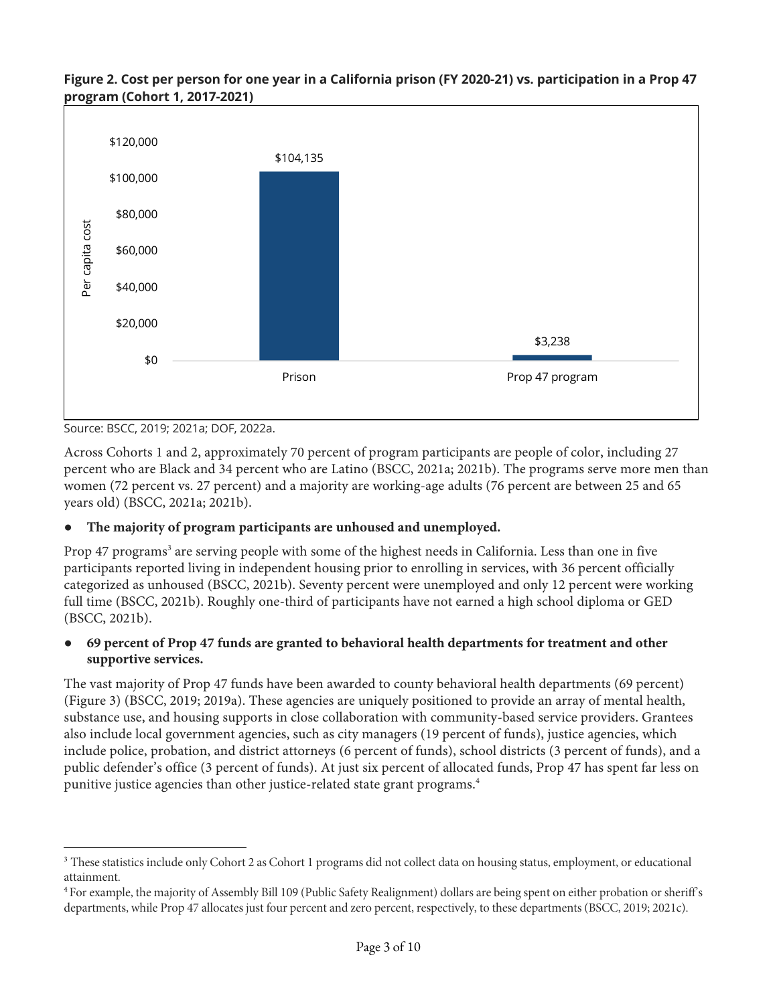#### **Figure 2. Cost per person for one year in a California prison (FY 2020-21) vs. participation in a Prop 47 program (Cohort 1, 2017-2021)**



Source: BSCC, 2019; 2021a; DOF, 2022a.

Across Cohorts 1 and 2, approximately 70 percent of program participants are people of color, including 27 percent who are Black and 34 percent who are Latino (BSCC, 2021a; 2021b). The programs serve more men than women (72 percent vs. 27 percent) and a majority are working-age adults (76 percent are between 25 and 65 years old) (BSCC, 2021a; 2021b).

# The majority of program participants are unhoused and unemployed.

Prop 47 programs<sup>3</sup> are serving people with some of the highest needs in California. Less than one in five participants reported living in independent housing prior to enrolling in services, with 36 percent officially categorized as unhoused (BSCC, 2021b). Seventy percent were unemployed and only 12 percent were working full time (BSCC, 2021b). Roughly one-third of participants have not earned a high school diploma or GED (BSCC, 2021b).

# ● **69 percent of Prop 47 funds are granted to behavioral health departments for treatment and other supportive services.**

The vast majority of Prop 47 funds have been awarded to county behavioral health departments (69 percent) (Figure 3) (BSCC, 2019; 2019a). These agencies are uniquely positioned to provide an array of mental health, substance use, and housing supports in close collaboration with community-based service providers. Grantees also include local government agencies, such as city managers (19 percent of funds), justice agencies, which include police, probation, and district attorneys (6 percent of funds), school districts (3 percent of funds), and a public defender's office (3 percent of funds). At just six percent of allocated funds, Prop 47 has spent far less on punitive justice agencies than other justice-related state grant programs.4

<sup>&</sup>lt;sup>3</sup> These statistics include only Cohort 2 as Cohort 1 programs did not collect data on housing status, employment, or educational attainment.

<sup>&</sup>lt;sup>4</sup> For example, the majority of Assembly Bill 109 (Public Safety Realignment) dollars are being spent on either probation or sheriff's departments, while Prop 47 allocates just four percent and zero percent, respectively, to these departments (BSCC, 2019; 2021c).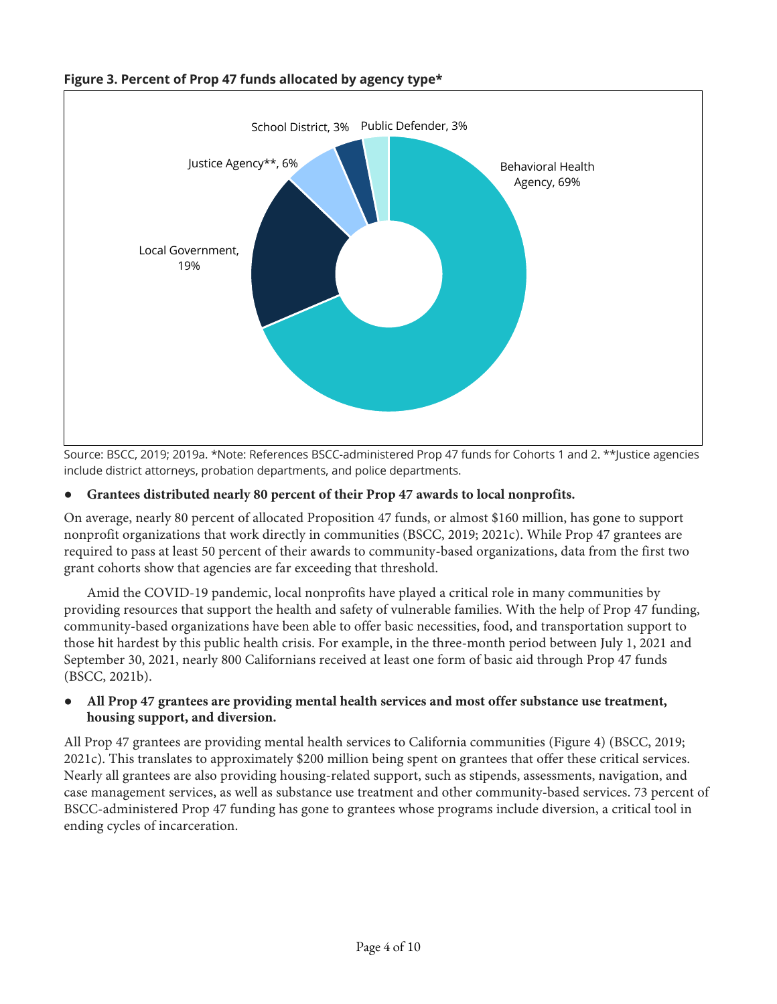

# **Figure 3. Percent of Prop 47 funds allocated by agency type\***

Source: BSCC, 2019; 2019a. \*Note: References BSCC-administered Prop 47 funds for Cohorts 1 and 2. \*\*Justice agencies include district attorneys, probation departments, and police departments.

#### ● **Grantees distributed nearly 80 percent of their Prop 47 awards to local nonprofits.**

On average, nearly 80 percent of allocated Proposition 47 funds, or almost \$160 million, has gone to support nonprofit organizations that work directly in communities (BSCC, 2019; 2021c). While Prop 47 grantees are required to pass at least 50 percent of their awards to community-based organizations, data from the first two grant cohorts show that agencies are far exceeding that threshold.

Amid the COVID-19 pandemic, local nonprofits have played a critical role in many communities by providing resources that support the health and safety of vulnerable families. With the help of Prop 47 funding, community-based organizations have been able to offer basic necessities, food, and transportation support to those hit hardest by this public health crisis. For example, in the three-month period between July 1, 2021 and September 30, 2021, nearly 800 Californians received at least one form of basic aid through Prop 47 funds (BSCC, 2021b).

#### ● **All Prop 47 grantees are providing mental health services and most offer substance use treatment, housing support, and diversion.**

All Prop 47 grantees are providing mental health services to California communities (Figure 4) (BSCC, 2019; 2021c). This translates to approximately \$200 million being spent on grantees that offer these critical services. Nearly all grantees are also providing housing-related support, such as stipends, assessments, navigation, and case management services, as well as substance use treatment and other community-based services. 73 percent of BSCC-administered Prop 47 funding has gone to grantees whose programs include diversion, a critical tool in ending cycles of incarceration.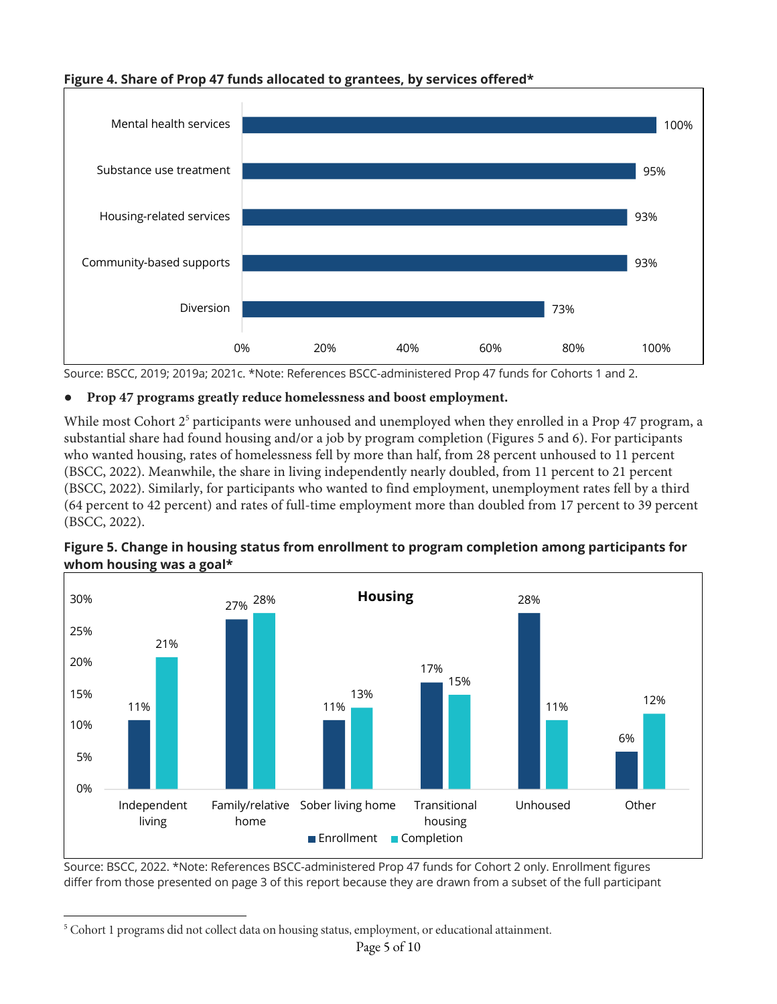# **Figure 4. Share of Prop 47 funds allocated to grantees, by services offered\***



Source: BSCC, 2019; 2019a; 2021c. \*Note: References BSCC-administered Prop 47 funds for Cohorts 1 and 2.

# ● **Prop 47 programs greatly reduce homelessness and boost employment.**

While most Cohort  $2<sup>5</sup>$  participants were unhoused and unemployed when they enrolled in a Prop 47 program, a substantial share had found housing and/or a job by program completion (Figures 5 and 6). For participants who wanted housing, rates of homelessness fell by more than half, from 28 percent unhoused to 11 percent (BSCC, 2022). Meanwhile, the share in living independently nearly doubled, from 11 percent to 21 percent (BSCC, 2022). Similarly, for participants who wanted to find employment, unemployment rates fell by a third (64 percent to 42 percent) and rates of full-time employment more than doubled from 17 percent to 39 percent (BSCC, 2022).



**Figure 5. Change in housing status from enrollment to program completion among participants for whom housing was a goal\***

Source: BSCC, 2022. \*Note: References BSCC-administered Prop 47 funds for Cohort 2 only. Enrollment figures differ from those presented on page 3 of this report because they are drawn from a subset of the full participant

<sup>&</sup>lt;sup>5</sup> Cohort 1 programs did not collect data on housing status, employment, or educational attainment.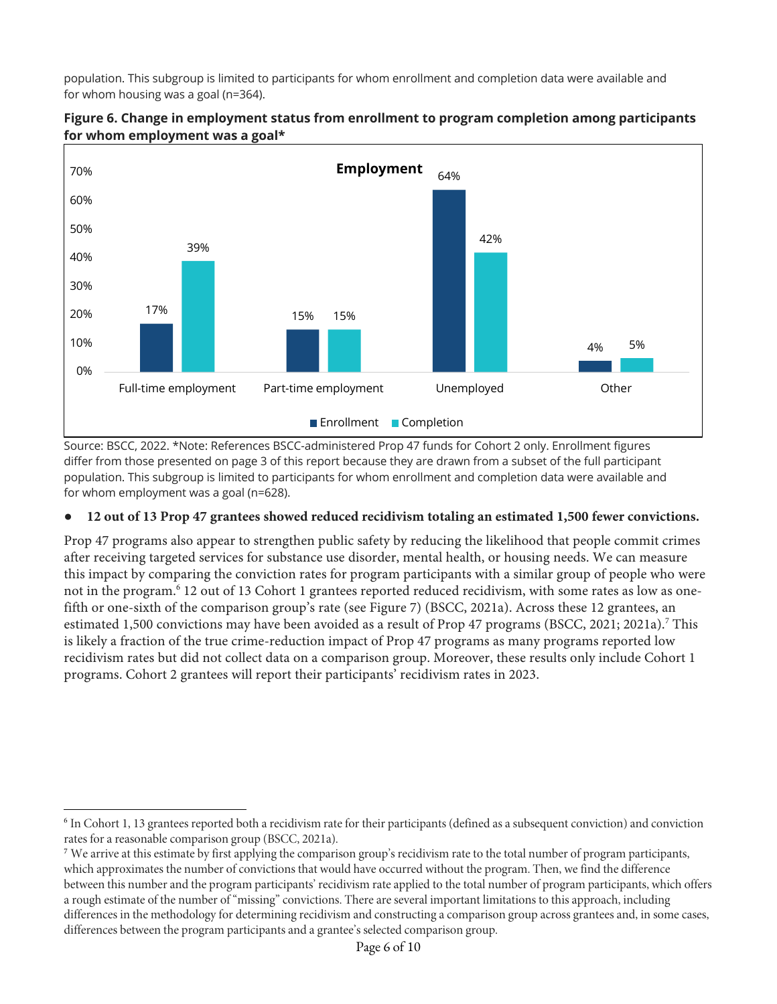population. This subgroup is limited to participants for whom enrollment and completion data were available and for whom housing was a goal (n=364).



# **Figure 6. Change in employment status from enrollment to program completion among participants for whom employment was a goal\***

Source: BSCC, 2022. \*Note: References BSCC-administered Prop 47 funds for Cohort 2 only. Enrollment figures differ from those presented on page 3 of this report because they are drawn from a subset of the full participant population. This subgroup is limited to participants for whom enrollment and completion data were available and for whom employment was a goal (n=628).

# ● **12 out of 13 Prop 47 grantees showed reduced recidivism totaling an estimated 1,500 fewer convictions.**

Prop 47 programs also appear to strengthen public safety by reducing the likelihood that people commit crimes after receiving targeted services for substance use disorder, mental health, or housing needs. We can measure this impact by comparing the conviction rates for program participants with a similar group of people who were not in the program.6 12 out of 13 Cohort 1 grantees reported reduced recidivism, with some rates as low as onefifth or one-sixth of the comparison group's rate (see Figure 7) (BSCC, 2021a). Across these 12 grantees, an estimated 1,500 convictions may have been avoided as a result of Prop 47 programs (BSCC, 2021; 2021a).<sup>7</sup> This is likely a fraction of the true crime-reduction impact of Prop 47 programs as many programs reported low recidivism rates but did not collect data on a comparison group. Moreover, these results only include Cohort 1 programs. Cohort 2 grantees will report their participants' recidivism rates in 2023.

<sup>6</sup> In Cohort 1, 13 grantees reported both a recidivism rate for their participants (defined as a subsequent conviction) and conviction rates for a reasonable comparison group (BSCC, 2021a).

<sup>&</sup>lt;sup>7</sup> We arrive at this estimate by first applying the comparison group's recidivism rate to the total number of program participants, which approximates the number of convictions that would have occurred without the program. Then, we find the difference between this number and the program participants' recidivism rate applied to the total number of program participants, which offers a rough estimate of the number of "missing" convictions. There are several important limitations to this approach, including differences in the methodology for determining recidivism and constructing a comparison group across grantees and, in some cases, differences between the program participants and a grantee's selected comparison group.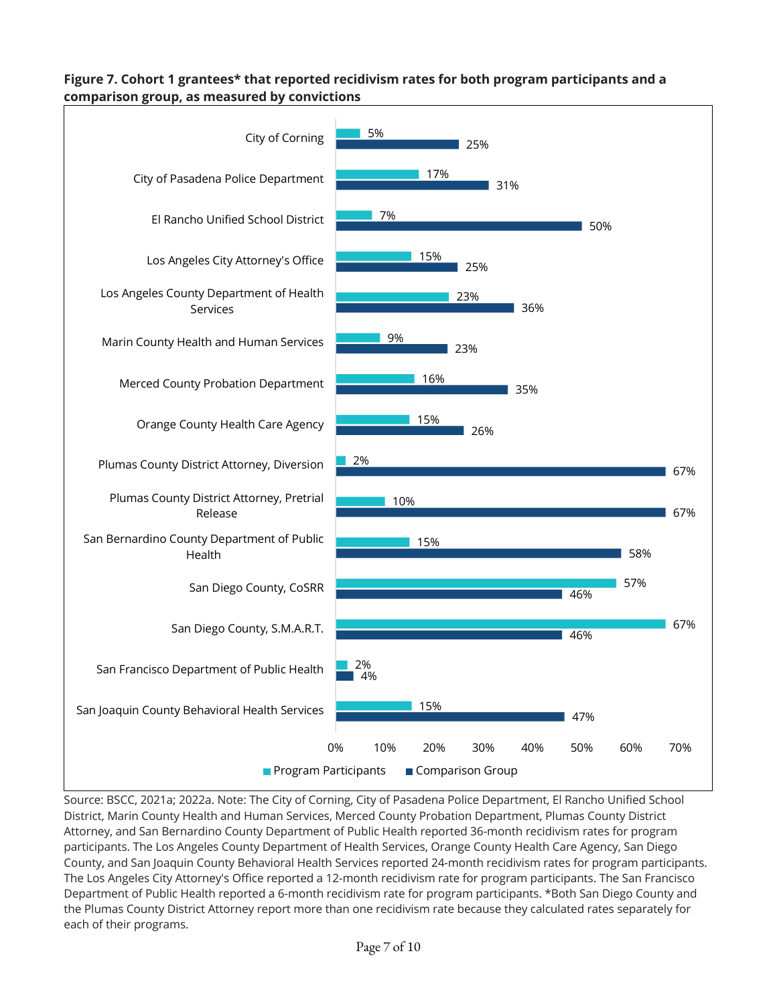# **Figure 7. Cohort 1 grantees\* that reported recidivism rates for both program participants and a comparison group, as measured by convictions**



Source: BSCC, 2021a; 2022a. Note: The City of Corning, City of Pasadena Police Department, El Rancho Unified School District, Marin County Health and Human Services, Merced County Probation Department, Plumas County District Attorney, and San Bernardino County Department of Public Health reported 36-month recidivism rates for program participants. The Los Angeles County Department of Health Services, Orange County Health Care Agency, San Diego County, and San Joaquin County Behavioral Health Services reported 24-month recidivism rates for program participants. The Los Angeles City Attorney's Office reported a 12-month recidivism rate for program participants. The San Francisco Department of Public Health reported a 6-month recidivism rate for program participants. \*Both San Diego County and the Plumas County District Attorney report more than one recidivism rate because they calculated rates separately for each of their programs.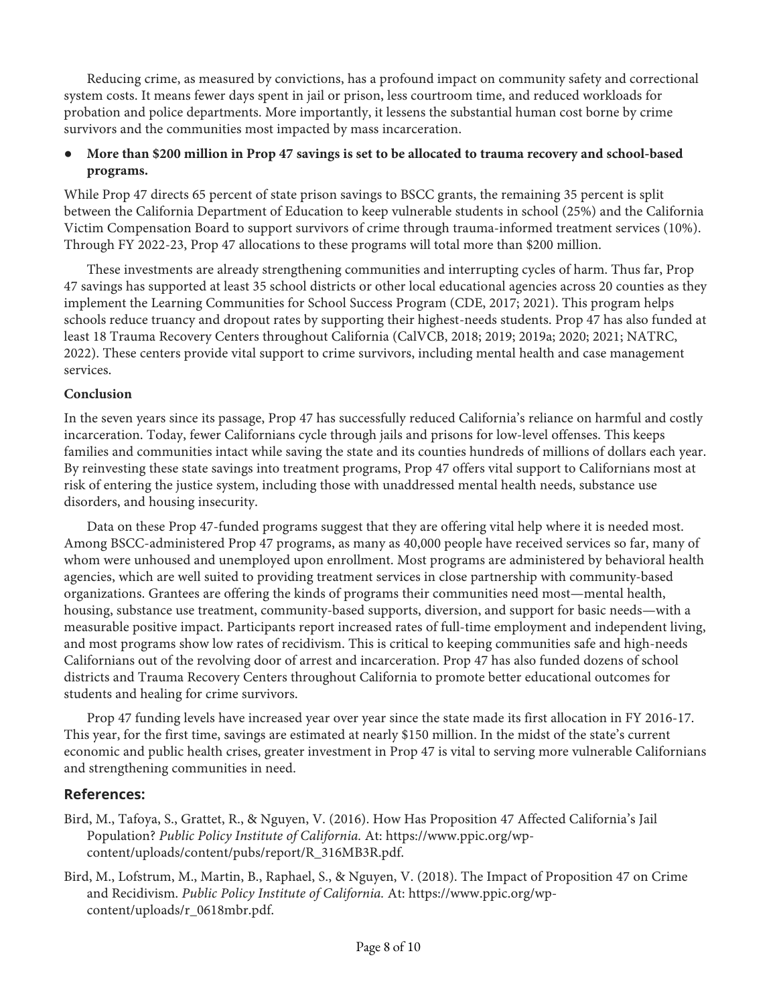Reducing crime, as measured by convictions, has a profound impact on community safety and correctional system costs. It means fewer days spent in jail or prison, less courtroom time, and reduced workloads for probation and police departments. More importantly, it lessens the substantial human cost borne by crime survivors and the communities most impacted by mass incarceration.

# ● **More than \$200 million in Prop 47 savings is set to be allocated to trauma recovery and school-based programs.**

While Prop 47 directs 65 percent of state prison savings to BSCC grants, the remaining 35 percent is split between the California Department of Education to keep vulnerable students in school (25%) and the California Victim Compensation Board to support survivors of crime through trauma-informed treatment services (10%). Through FY 2022-23, Prop 47 allocations to these programs will total more than \$200 million.

These investments are already strengthening communities and interrupting cycles of harm. Thus far, Prop 47 savings has supported at least 35 school districts or other local educational agencies across 20 counties as they implement the Learning Communities for School Success Program (CDE, 2017; 2021). This program helps schools reduce truancy and dropout rates by supporting their highest-needs students. Prop 47 has also funded at least 18 Trauma Recovery Centers throughout California (CalVCB, 2018; 2019; 2019a; 2020; 2021; NATRC, 2022). These centers provide vital support to crime survivors, including mental health and case management services.

#### **Conclusion**

In the seven years since its passage, Prop 47 has successfully reduced California's reliance on harmful and costly incarceration. Today, fewer Californians cycle through jails and prisons for low-level offenses. This keeps families and communities intact while saving the state and its counties hundreds of millions of dollars each year. By reinvesting these state savings into treatment programs, Prop 47 offers vital support to Californians most at risk of entering the justice system, including those with unaddressed mental health needs, substance use disorders, and housing insecurity.

Data on these Prop 47-funded programs suggest that they are offering vital help where it is needed most. Among BSCC-administered Prop 47 programs, as many as 40,000 people have received services so far, many of whom were unhoused and unemployed upon enrollment. Most programs are administered by behavioral health agencies, which are well suited to providing treatment services in close partnership with community-based organizations. Grantees are offering the kinds of programs their communities need most—mental health, housing, substance use treatment, community-based supports, diversion, and support for basic needs—with a measurable positive impact. Participants report increased rates of full-time employment and independent living, and most programs show low rates of recidivism. This is critical to keeping communities safe and high-needs Californians out of the revolving door of arrest and incarceration. Prop 47 has also funded dozens of school districts and Trauma Recovery Centers throughout California to promote better educational outcomes for students and healing for crime survivors.

Prop 47 funding levels have increased year over year since the state made its first allocation in FY 2016-17. This year, for the first time, savings are estimated at nearly \$150 million. In the midst of the state's current economic and public health crises, greater investment in Prop 47 is vital to serving more vulnerable Californians and strengthening communities in need.

# **References:**

- Bird, M., Tafoya, S., Grattet, R., & Nguyen, V. (2016). How Has Proposition 47 Affected California's Jail Population? *Public Policy Institute of California.* At: https://www.ppic.org/wpcontent/uploads/content/pubs/report/R\_316MB3R.pdf.
- Bird, M., Lofstrum, M., Martin, B., Raphael, S., & Nguyen, V. (2018). The Impact of Proposition 47 on Crime and Recidivism. *Public Policy Institute of California.* At: https://www.ppic.org/wpcontent/uploads/r\_0618mbr.pdf.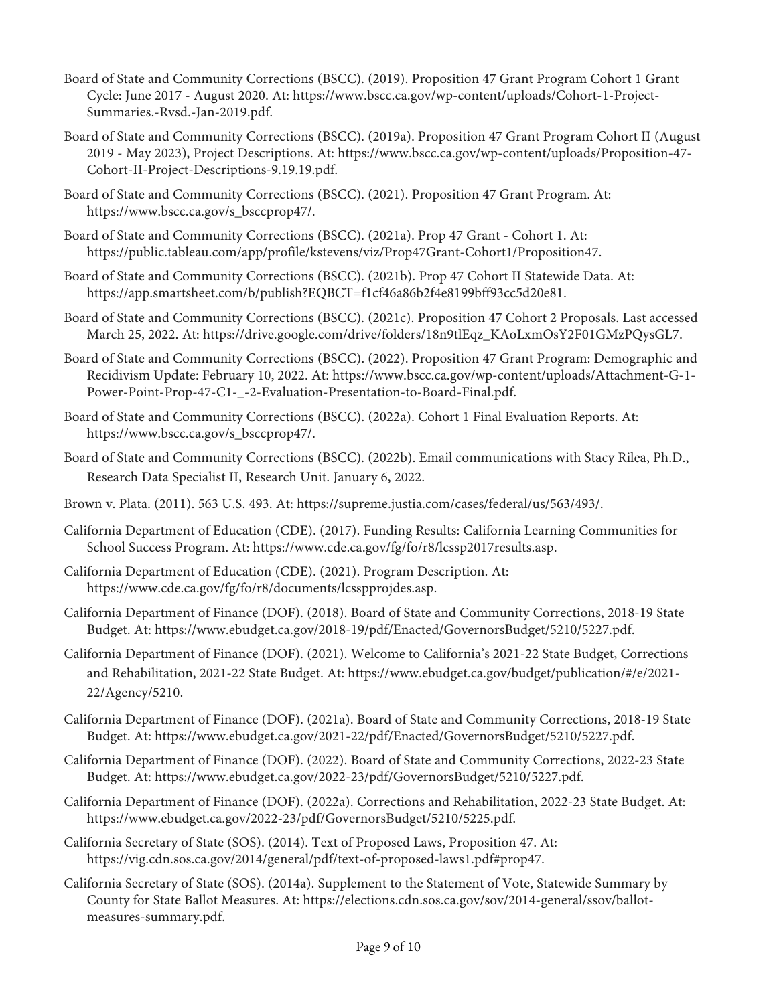- Board of State and Community Corrections (BSCC). (2019). Proposition 47 Grant Program Cohort 1 Grant Cycle: June 2017 - August 2020. At: https://www.bscc.ca.gov/wp-content/uploads/Cohort-1-Project-Summaries.-Rvsd.-Jan-2019.pdf.
- Board of State and Community Corrections (BSCC). (2019a). Proposition 47 Grant Program Cohort II (August 2019 - May 2023), Project Descriptions. At: https://www.bscc.ca.gov/wp-content/uploads/Proposition-47- Cohort-II-Project-Descriptions-9.19.19.pdf.
- Board of State and Community Corrections (BSCC). (2021). Proposition 47 Grant Program. At: https://www.bscc.ca.gov/s\_bsccprop47/.
- Board of State and Community Corrections (BSCC). (2021a). Prop 47 Grant Cohort 1. At: https://public.tableau.com/app/profile/kstevens/viz/Prop47Grant-Cohort1/Proposition47.
- Board of State and Community Corrections (BSCC). (2021b). Prop 47 Cohort II Statewide Data. At: https://app.smartsheet.com/b/publish?EQBCT=f1cf46a86b2f4e8199bff93cc5d20e81.
- Board of State and Community Corrections (BSCC). (2021c). Proposition 47 Cohort 2 Proposals. Last accessed March 25, 2022. At: https://drive.google.com/drive/folders/18n9tlEqz\_KAoLxmOsY2F01GMzPQysGL7.
- Board of State and Community Corrections (BSCC). (2022). Proposition 47 Grant Program: Demographic and Recidivism Update: February 10, 2022. At: https://www.bscc.ca.gov/wp-content/uploads/Attachment-G-1- Power-Point-Prop-47-C1-\_-2-Evaluation-Presentation-to-Board-Final.pdf.
- Board of State and Community Corrections (BSCC). (2022a). Cohort 1 Final Evaluation Reports. At: https://www.bscc.ca.gov/s\_bsccprop47/.
- Board of State and Community Corrections (BSCC). (2022b). Email communications with Stacy Rilea, Ph.D., Research Data Specialist II, Research Unit. January 6, 2022.
- Brown v. Plata. (2011). 563 U.S. 493. At: https://supreme.justia.com/cases/federal/us/563/493/.
- California Department of Education (CDE). (2017). Funding Results: California Learning Communities for School Success Program. At: https://www.cde.ca.gov/fg/fo/r8/lcssp2017results.asp.
- California Department of Education (CDE). (2021). Program Description. At: https://www.cde.ca.gov/fg/fo/r8/documents/lcsspprojdes.asp.
- California Department of Finance (DOF). (2018). Board of State and Community Corrections, 2018-19 State Budget. At: https://www.ebudget.ca.gov/2018-19/pdf/Enacted/GovernorsBudget/5210/5227.pdf.
- California Department of Finance (DOF). (2021). Welcome to California's 2021-22 State Budget, Corrections and Rehabilitation, 2021-22 State Budget. At: https://www.ebudget.ca.gov/budget/publication/#/e/2021- 22/Agency/5210.
- California Department of Finance (DOF). (2021a). Board of State and Community Corrections, 2018-19 State Budget. At: https://www.ebudget.ca.gov/2021-22/pdf/Enacted/GovernorsBudget/5210/5227.pdf.
- California Department of Finance (DOF). (2022). Board of State and Community Corrections, 2022-23 State Budget. At: https://www.ebudget.ca.gov/2022-23/pdf/GovernorsBudget/5210/5227.pdf.
- California Department of Finance (DOF). (2022a). Corrections and Rehabilitation, 2022-23 State Budget. At: https://www.ebudget.ca.gov/2022-23/pdf/GovernorsBudget/5210/5225.pdf.
- California Secretary of State (SOS). (2014). Text of Proposed Laws, Proposition 47. At: https://vig.cdn.sos.ca.gov/2014/general/pdf/text-of-proposed-laws1.pdf#prop47.
- California Secretary of State (SOS). (2014a). Supplement to the Statement of Vote, Statewide Summary by County for State Ballot Measures. At: https://elections.cdn.sos.ca.gov/sov/2014-general/ssov/ballotmeasures-summary.pdf.